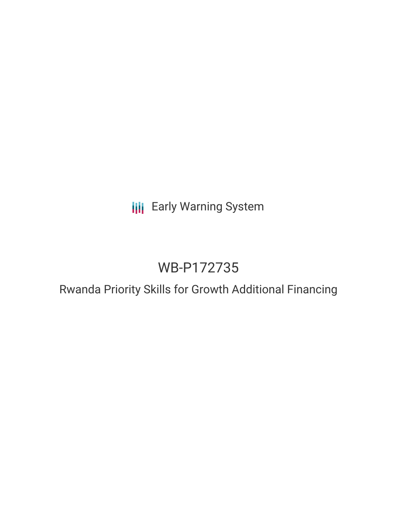## **III** Early Warning System

# WB-P172735

## Rwanda Priority Skills for Growth Additional Financing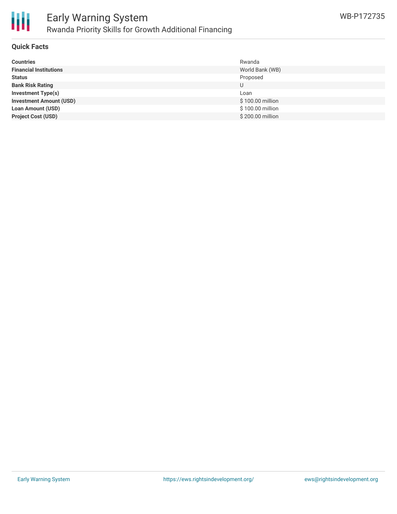

### **Quick Facts**

| <b>Countries</b>               | Rwanda           |
|--------------------------------|------------------|
| <b>Financial Institutions</b>  | World Bank (WB)  |
| <b>Status</b>                  | Proposed         |
| <b>Bank Risk Rating</b>        | U                |
| <b>Investment Type(s)</b>      | Loan             |
| <b>Investment Amount (USD)</b> | \$100.00 million |
| <b>Loan Amount (USD)</b>       | \$100.00 million |
| <b>Project Cost (USD)</b>      | \$200.00 million |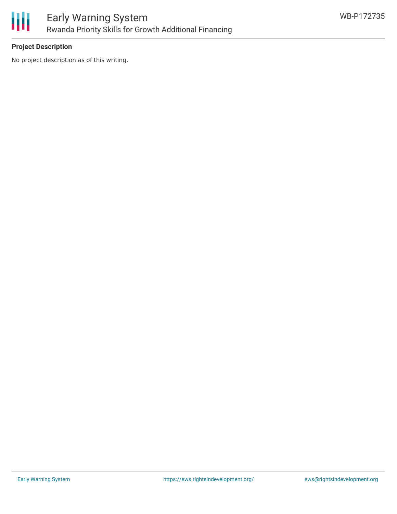

## **Project Description**

No project description as of this writing.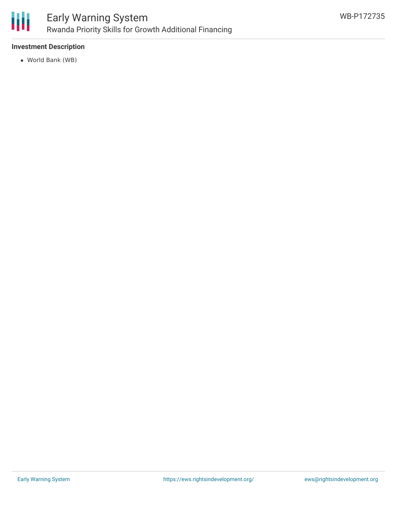

## **Investment Description**

World Bank (WB)